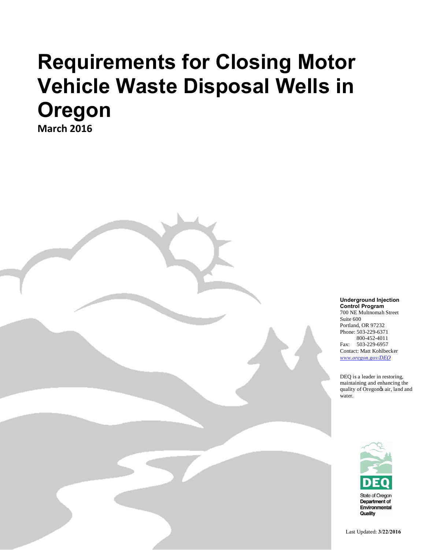**March 2016**

**Underground Injection Control Program** 700 NE Multnomah Street

Suite 600 Portland, OR 97232 Phone: 503-229-6371 800-452-4011 Fax: 503-229-6957 Contact: Matt Kohlbecker *www.oregon.gov/DEQ*

DEQ is a leader in restoring, maintaining and enhancing the quality of Oregongs air, land and water.



Last Updated: **3/22/2016**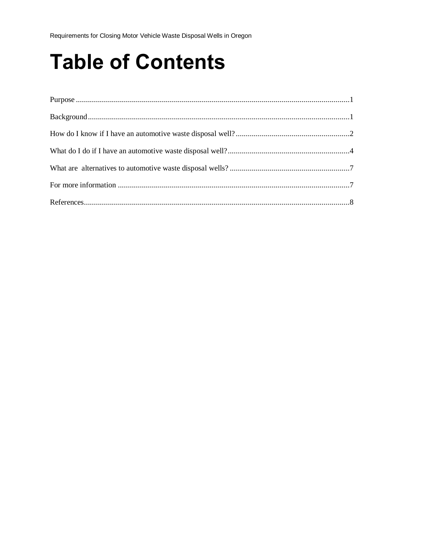# **Table of Contents**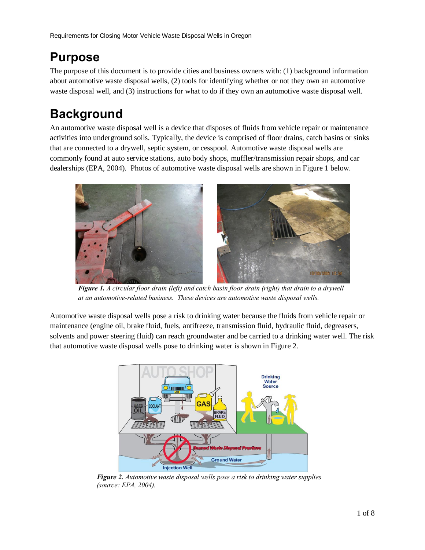## **Purpose**

The purpose of this document is to provide cities and business owners with: (1) background information about automotive waste disposal wells, (2) tools for identifying whether or not they own an automotive waste disposal well, and (3) instructions for what to do if they own an automotive waste disposal well.

# **Background**

An automotive waste disposal well is a device that disposes of fluids from vehicle repair or maintenance activities into underground soils. Typically, the device is comprised of floor drains, catch basins or sinks that are connected to a drywell, septic system, or cesspool. Automotive waste disposal wells are commonly found at auto service stations, auto body shops, muffler/transmission repair shops, and car dealerships (EPA, 2004). Photos of automotive waste disposal wells are shown in Figure 1 below.



*Figure 1. A circular floor drain (left) and catch basin floor drain (right) that drain to a drywell at an automotive-related business. These devices are automotive waste disposal wells.*

Automotive waste disposal wells pose a risk to drinking water because the fluids from vehicle repair or maintenance (engine oil, brake fluid, fuels, antifreeze, transmission fluid, hydraulic fluid, degreasers, solvents and power steering fluid) can reach groundwater and be carried to a drinking water well. The risk that automotive waste disposal wells pose to drinking water is shown in Figure 2.



*Figure 2. Automotive waste disposal wells pose a risk to drinking water supplies (source: EPA, 2004).*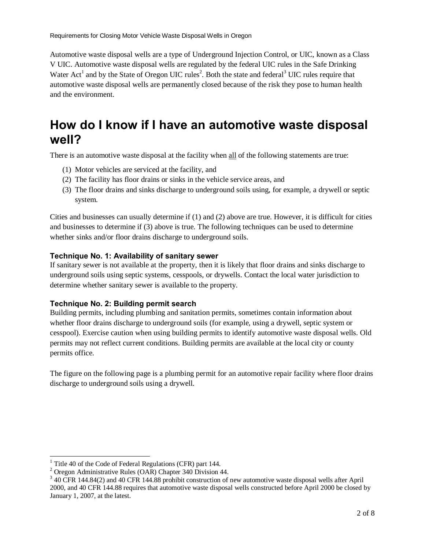Automotive waste disposal wells are a type of Underground Injection Control, or UIC, known as a Class V UIC. Automotive waste disposal wells are regulated by the federal UIC rules in the Safe Drinking Water Act<sup>1</sup> and by the State of Oregon UIC rules<sup>2</sup>. Both the state and federal<sup>3</sup> UIC rules require that automotive waste disposal wells are permanently closed because of the risk they pose to human health and the environment.

## **How do I know if I have an automotive waste disposal well?**

There is an automotive waste disposal at the facility when all of the following statements are true:

- (1) Motor vehicles are serviced at the facility, and
- (2) The facility has floor drains or sinks in the vehicle service areas, and
- (3) The floor drains and sinks discharge to underground soils using, for example, a drywell or septic system.

Cities and businesses can usually determine if (1) and (2) above are true. However, it is difficult for cities and businesses to determine if (3) above is true. The following techniques can be used to determine whether sinks and/or floor drains discharge to underground soils.

#### **Technique No. 1: Availability of sanitary sewer**

If sanitary sewer is not available at the property, then it is likely that floor drains and sinks discharge to underground soils using septic systems, cesspools, or drywells. Contact the local water jurisdiction to determine whether sanitary sewer is available to the property.

#### **Technique No. 2: Building permit search**

Building permits, including plumbing and sanitation permits, sometimes contain information about whether floor drains discharge to underground soils (for example, using a drywell, septic system or cesspool). Exercise caution when using building permits to identify automotive waste disposal wells. Old permits may not reflect current conditions. Building permits are available at the local city or county permits office.

The figure on the following page is a plumbing permit for an automotive repair facility where floor drains discharge to underground soils using a drywell.

<sup>&</sup>lt;sup>1</sup> Title 40 of the Code of Federal Regulations (CFR) part 144.<br><sup>2</sup> Oregon Administrative Rules (OAR) Chapter 340 Division 44.

 $3$  40 CFR 144.84(2) and 40 CFR 144.88 prohibit construction of new automotive waste disposal wells after April 2000, and 40 CFR 144.88 requires that automotive waste disposal wells constructed before April 2000 be closed by January 1, 2007, at the latest.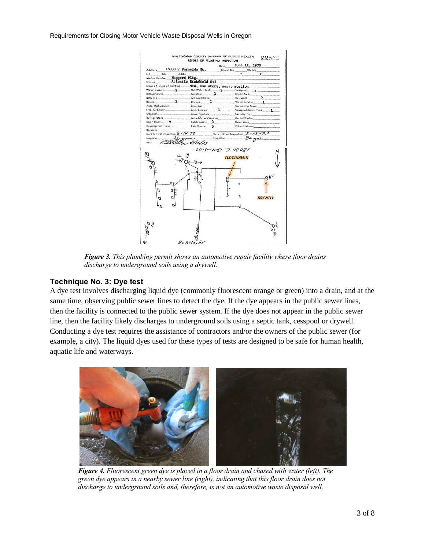

*Figure 3. This plumbing permit shows an automotive repair facility where floor drains discharge to underground soils using a drywell.*

#### **Technique No. 3: Dye test**

A dye test involves discharging liquid dye (commonly fluorescent orange or green) into a drain, and at the same time, observing public sewer lines to detect the dye. If the dye appears in the public sewer lines, then the facility is connected to the public sewer system. If the dye does not appear in the public sewer line, then the facility likely discharges to underground soils using a septic tank, cesspool or drywell. Conducting a dye test requires the assistance of contractors and/or the owners of the public sewer (for example, a city). The liquid dyes used for these types of tests are designed to be safe for human health, aquatic life and waterways.



*Figure 4. Fluorescent green dye is placed in a floor drain and chased with water (left). The green dye appears in a nearby sewer line (right), indicating that this floor drain does not discharge to underground soils and, therefore, is not an automotive waste disposal well.*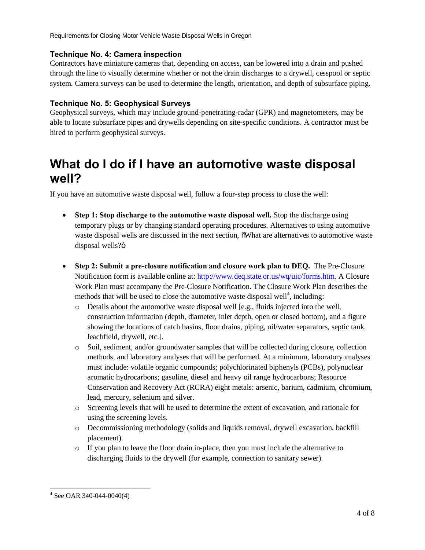#### **Technique No. 4: Camera inspection**

Contractors have miniature cameras that, depending on access, can be lowered into a drain and pushed through the line to visually determine whether or not the drain discharges to a drywell, cesspool or septic system. Camera surveys can be used to determine the length, orientation, and depth of subsurface piping.

#### **Technique No. 5: Geophysical Surveys**

Geophysical surveys, which may include ground-penetrating-radar (GPR) and magnetometers, may be able to locate subsurface pipes and drywells depending on site-specific conditions. A contractor must be hired to perform geophysical surveys.

### **What do I do if I have an automotive waste disposal well?**

If you have an automotive waste disposal well, follow a four-step process to close the well:

- · **Step 1: Stop discharge to the automotive waste disposal well.** Stop the discharge using temporary plugs or by changing standard operating procedures. Alternatives to using automotive waste disposal wells are discussed in the next section,  $\delta W$  hat are alternatives to automotive waste disposal wells?ö
- · **Step 2: Submit a pre-closure notification and closure work plan to DEQ.** The Pre-Closure Notification form is available online at: http://www.deq.state.or.us/wq/uic/forms.htm. A Closure Work Plan must accompany the Pre-Closure Notification. The Closure Work Plan describes the methods that will be used to close the automotive waste disposal well<sup>4</sup>, including:
	- $\circ$  Details about the automotive waste disposal well [e.g., fluids injected into the well, construction information (depth, diameter, inlet depth, open or closed bottom), and a figure showing the locations of catch basins, floor drains, piping, oil/water separators, septic tank, leachfield, drywell, etc.].
	- o Soil, sediment, and/or groundwater samples that will be collected during closure, collection methods, and laboratory analyses that will be performed. At a minimum, laboratory analyses must include: volatile organic compounds; polychlorinated biphenyls (PCBs), polynuclear aromatic hydrocarbons; gasoline, diesel and heavy oil range hydrocarbons; Resource Conservation and Recovery Act (RCRA) eight metals: arsenic, barium, cadmium, chromium, lead, mercury, selenium and silver.
	- o Screening levels that will be used to determine the extent of excavation, and rationale for using the screening levels.
	- o Decommissioning methodology (solids and liquids removal, drywell excavation, backfill placement).
	- $\circ$  If you plan to leave the floor drain in-place, then you must include the alternative to discharging fluids to the drywell (for example, connection to sanitary sewer).

 $4$  See OAR 340-044-0040(4)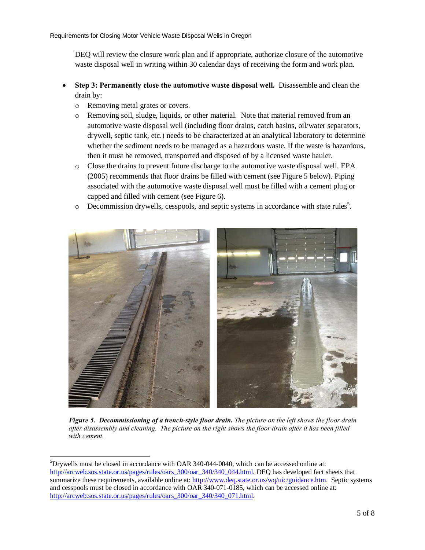DEQ will review the closure work plan and if appropriate, authorize closure of the automotive waste disposal well in writing within 30 calendar days of receiving the form and work plan.

- · **Step 3: Permanently close the automotive waste disposal well.** Disassemble and clean the drain by:
	- o Removing metal grates or covers.
	- o Removing soil, sludge, liquids, or other material. Note that material removed from an automotive waste disposal well (including floor drains, catch basins, oil/water separators, drywell, septic tank, etc.) needs to be characterized at an analytical laboratory to determine whether the sediment needs to be managed as a hazardous waste. If the waste is hazardous, then it must be removed, transported and disposed of by a licensed waste hauler.
	- o Close the drains to prevent future discharge to the automotive waste disposal well. EPA (2005) recommends that floor drains be filled with cement (see Figure 5 below). Piping associated with the automotive waste disposal well must be filled with a cement plug or capped and filled with cement (see Figure 6).
	- $\circ$  Decommission drywells, cesspools, and septic systems in accordance with state rules<sup>5</sup>.



*Figure 5. Decommissioning of a trench-style floor drain. The picture on the left shows the floor drain after disassembly and cleaning. The picture on the right shows the floor drain after it has been filled with cement.*

 <sup>5</sup>  $5$ Drywells must be closed in accordance with OAR 340-044-0040, which can be accessed online at: http://arcweb.sos.state.or.us/pages/rules/oars\_300/oar\_340/340\_044.html. DEQ has developed fact sheets that summarize these requirements, available online at: http://www.deq.state.or.us/wq/uic/guidance.htm. Septic systems and cesspools must be closed in accordance with OAR 340-071-0185, which can be accessed online at: http://arcweb.sos.state.or.us/pages/rules/oars\_300/oar\_340/340\_071.html.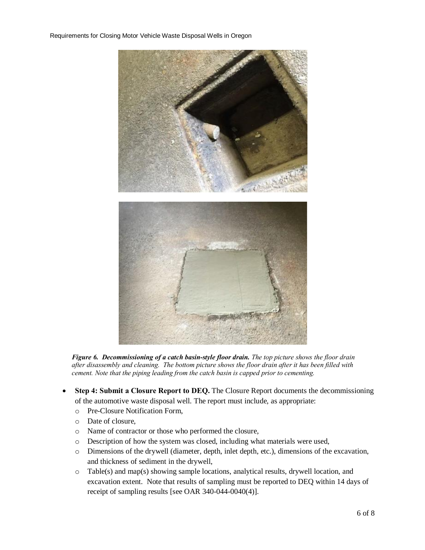

*Figure 6. Decommissioning of a catch basin-style floor drain. The top picture shows the floor drain after disassembly and cleaning. The bottom picture shows the floor drain after it has been filled with cement. Note that the piping leading from the catch basin is capped prior to cementing.*

- **Step 4: Submit a Closure Report to DEQ.** The Closure Report documents the decommissioning of the automotive waste disposal well. The report must include, as appropriate:
	- o Pre-Closure Notification Form,
	- o Date of closure,
	- o Name of contractor or those who performed the closure,
	- o Description of how the system was closed, including what materials were used,
	- o Dimensions of the drywell (diameter, depth, inlet depth, etc.), dimensions of the excavation, and thickness of sediment in the drywell,
	- $\circ$  Table(s) and map(s) showing sample locations, analytical results, drywell location, and excavation extent. Note that results of sampling must be reported to DEQ within 14 days of receipt of sampling results [see OAR 340-044-0040(4)].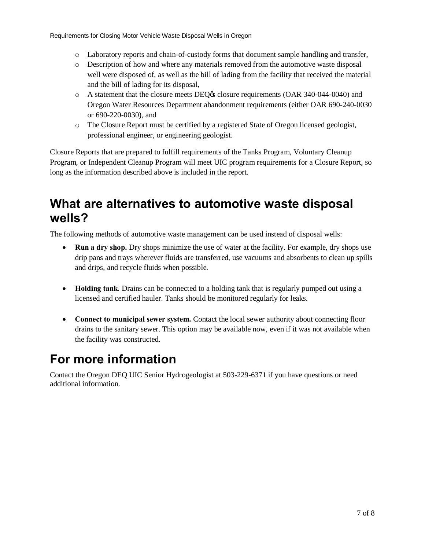- o Laboratory reports and chain-of-custody forms that document sample handling and transfer,
- o Description of how and where any materials removed from the automotive waste disposal well were disposed of, as well as the bill of lading from the facility that received the material and the bill of lading for its disposal,
- $\circ$  A statement that the closure meets DEQ $\circ$  closure requirements (OAR 340-044-0040) and Oregon Water Resources Department abandonment requirements (either OAR 690-240-0030 or 690-220-0030), and
- o The Closure Report must be certified by a registered State of Oregon licensed geologist, professional engineer, or engineering geologist.

Closure Reports that are prepared to fulfill requirements of the Tanks Program, Voluntary Cleanup Program, or Independent Cleanup Program will meet UIC program requirements for a Closure Report, so long as the information described above is included in the report.

## **What are alternatives to automotive waste disposal wells?**

The following methods of automotive waste management can be used instead of disposal wells:

- **Run a dry shop.** Dry shops minimize the use of water at the facility. For example, dry shops use drip pans and trays wherever fluids are transferred, use vacuums and absorbents to clean up spills and drips, and recycle fluids when possible.
- · **Holding tank**. Drains can be connected to a holding tank that is regularly pumped out using a licensed and certified hauler. Tanks should be monitored regularly for leaks.
- · **Connect to municipal sewer system.** Contact the local sewer authority about connecting floor drains to the sanitary sewer. This option may be available now, even if it was not available when the facility was constructed.

## **For more information**

Contact the Oregon DEQ UIC Senior Hydrogeologist at 503-229-6371 if you have questions or need additional information.